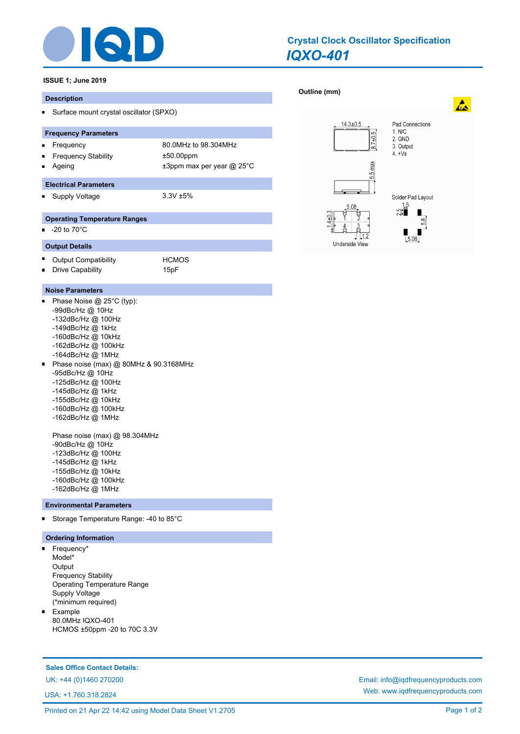

# *IQXO-401* **Crystal Clock Oscillator Specification**

**[Outline \(mm\)](http://www.iqdfrequencyproducts.com/products/search/?type=crystal-clock-oscillator&model=IQXO-401)** 

# **ISSUE 1; June 2019**

#### **Description**

Surface mount crystal oscillator (SPXO)  $\blacksquare$ 

#### **Frequency Parameters**

- Frequency 80.0MHz to 98.304MHz  $\blacksquare$ Frequency Stability ±50.00ppm Ē.
	- Ageing  $\qquad \qquad \pm 3$ ppm max per year @ 25°C

## **Electrical Parameters**

Supply Voltage 3.3V ±5% П

### **Operating Temperature Ranges**

 $\blacksquare$ -20 to 70°C

#### **Output Details**

- $\blacksquare$ Output Compatibility **HCMOS** Drive Capability **15pF** n
	-

### **Noise Parameters**

- o. Phase Noise @ 25°C (typ): -99dBc/Hz @ 10Hz -132dBc/Hz @ 100Hz -149dBc/Hz @ 1kHz -160dBc/Hz @ 10kHz -162dBc/Hz @ 100kHz -164dBc/Hz @ 1MHz Phase noise (max) @ 80MHz & 90.3168MHz  $\blacksquare$ -95dBc/Hz @ 10Hz -125dBc/Hz @ 100Hz
	- -145dBc/Hz @ 1kHz
	- -155dBc/Hz @ 10kHz
	- -160dBc/Hz @ 100kHz
	- -162dBc/Hz @ 1MHz

Phase noise (max) @ 98.304MHz -90dBc/Hz @ 10Hz -123dBc/Hz @ 100Hz -145dBc/Hz @ 1kHz -155dBc/Hz @ 10kHz -160dBc/Hz @ 100kHz

- 
- -162dBc/Hz @ 1MHz

#### **Environmental Parameters**

 $\blacksquare$ Storage Temperature Range: -40 to 85°C

### **Ordering Information**

- Frequency\*  $\blacksquare$ Model\* **Output** Frequency Stability Operating Temperature Range Supply Voltage (\*minimum required)
- $\blacksquare$ Example 80.0MHz IQXO-401 HCMOS ±50ppm -20 to 70C 3.3V

### **Sales Office Contact Details:**

USA: +1.760.318.2824



UK: +44 (0)1460 270200 Email: info@iqdfrequencyproducts.com Web: www.iqdfrequencyproducts.com